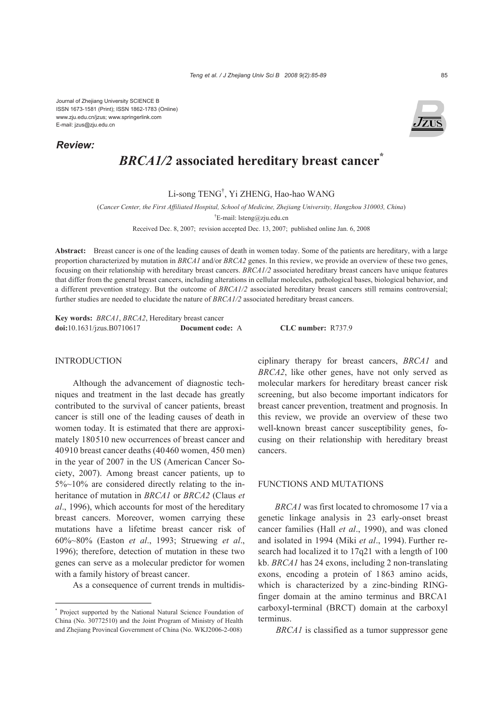Journal of Zhejiang University SCIENCE B ISSN 1673-1581 (Print); ISSN 1862-1783 (Online) www.zju.edu.cn/jzus; www.springerlink.com E-mail: jzus@zju.edu.cn

*Review:*

# *BRCA1/2* **associated hereditary breast cancer\***

Li-song TENG† , Yi ZHENG, Hao-hao WANG

(*Cancer Center, the First Affiliated Hospital, School of Medicine, Zhejiang University, Hangzhou 310003, China*)

† E-mail: lsteng@zju.edu.cn

Received Dec. 8, 2007; revision accepted Dec. 13, 2007; published online Jan. 6, 2008

**Abstract:** Breast cancer is one of the leading causes of death in women today. Some of the patients are hereditary, with a large proportion characterized by mutation in *BRCA1* and/or *BRCA2* genes. In this review, we provide an overview of these two genes, focusing on their relationship with hereditary breast cancers. *BRCA1/2* associated hereditary breast cancers have unique features that differ from the general breast cancers, including alterations in cellular molecules, pathological bases, biological behavior, and a different prevention strategy. But the outcome of *BRCA1/2* associated hereditary breast cancers still remains controversial; further studies are needed to elucidate the nature of *BRCA1/2* associated hereditary breast cancers.

**Key words:** *BRCA1*, *BRCA2*, Hereditary breast cancer **doi:**10.1631/jzus.B0710617 **Document code:** A **CLC number:** R737.9

# INTRODUCTION

Although the advancement of diagnostic techniques and treatment in the last decade has greatly contributed to the survival of cancer patients, breast cancer is still one of the leading causes of death in women today. It is estimated that there are approximately 180510 new occurrences of breast cancer and 40910 breast cancer deaths (40460 women, 450 men) in the year of 2007 in the US (American Cancer Society, 2007). Among breast cancer patients, up to 5%~10% are considered directly relating to the inheritance of mutation in *BRCA1* or *BRCA2* (Claus *et al*., 1996), which accounts for most of the hereditary breast cancers. Moreover, women carrying these mutations have a lifetime breast cancer risk of 60%~80% (Easton *et al*., 1993; Struewing *et al*., 1996); therefore, detection of mutation in these two genes can serve as a molecular predictor for women with a family history of breast cancer.

As a consequence of current trends in multidis-

ciplinary therapy for breast cancers, *BRCA1* and *BRCA2*, like other genes, have not only served as molecular markers for hereditary breast cancer risk screening, but also become important indicators for breast cancer prevention, treatment and prognosis. In this review, we provide an overview of these two well-known breast cancer susceptibility genes, focusing on their relationship with hereditary breast cancers.

# FUNCTIONS AND MUTATIONS

*BRCA1* was first located to chromosome 17 via a genetic linkage analysis in 23 early-onset breast cancer families (Hall *et al*., 1990), and was cloned and isolated in 1994 (Miki *et al*., 1994). Further research had localized it to 17q21 with a length of 100 kb. *BRCA1* has 24 exons, including 2 non-translating exons, encoding a protein of 1863 amino acids, which is characterized by a zinc-binding RINGfinger domain at the amino terminus and BRCA1 carboxyl-terminal (BRCT) domain at the carboxyl terminus.

*BRCA1* is classified as a tumor suppressor gene

<sup>\*</sup> Project supported by the National Natural Science Foundation of China (No. 30772510) and the Joint Program of Ministry of Health and Zhejiang Provincal Government of China (No. WKJ2006-2-008)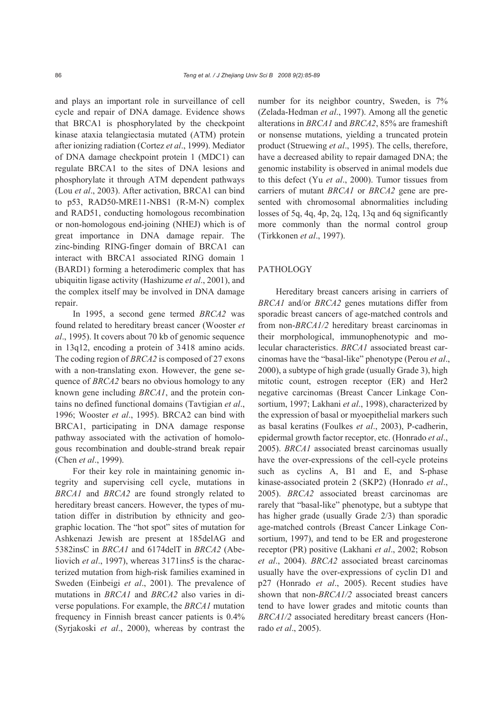and plays an important role in surveillance of cell cycle and repair of DNA damage. Evidence shows that BRCA1 is phosphorylated by the checkpoint kinase ataxia telangiectasia mutated (ATM) protein after ionizing radiation (Cortez *et al*., 1999). Mediator of DNA damage checkpoint protein 1 (MDC1) can regulate BRCA1 to the sites of DNA lesions and phosphorylate it through ATM dependent pathways (Lou *et al*., 2003). After activation, BRCA1 can bind to p53, RAD50-MRE11-NBS1 (R-M-N) complex and RAD51, conducting homologous recombination or non-homologous end-joining (NHEJ) which is of great importance in DNA damage repair. The zinc-binding RING-finger domain of BRCA1 can interact with BRCA1 associated RING domain 1 (BARD1) forming a heterodimeric complex that has ubiquitin ligase activity (Hashizume *et al*., 2001), and the complex itself may be involved in DNA damage repair.

In 1995, a second gene termed *BRCA2* was found related to hereditary breast cancer (Wooster *et al*., 1995). It covers about 70 kb of genomic sequence in 13q12, encoding a protein of 3418 amino acids. The coding region of *BRCA2* is composed of 27 exons with a non-translating exon. However, the gene sequence of *BRCA2* bears no obvious homology to any known gene including *BRCA1*, and the protein contains no defined functional domains (Tavtigian *et al*., 1996; Wooster *et al*., 1995). BRCA2 can bind with BRCA1, participating in DNA damage response pathway associated with the activation of homologous recombination and double-strand break repair (Chen *et al*., 1999).

For their key role in maintaining genomic integrity and supervising cell cycle, mutations in *BRCA1* and *BRCA2* are found strongly related to hereditary breast cancers. However, the types of mutation differ in distribution by ethnicity and geographic location. The "hot spot" sites of mutation for Ashkenazi Jewish are present at 185delAG and 5382insC in *BRCA1* and 6174delT in *BRCA2* (Abeliovich *et al.*, 1997), whereas 3171ins5 is the characterized mutation from high-risk families examined in Sweden (Einbeigi *et al*., 2001). The prevalence of mutations in *BRCA1* and *BRCA2* also varies in diverse populations. For example, the *BRCA1* mutation frequency in Finnish breast cancer patients is 0.4% (Syrjakoski *et al*., 2000), whereas by contrast the

number for its neighbor country, Sweden, is 7% (Zelada-Hedman *et al*., 1997). Among all the genetic alterations in *BRCA1* and *BRCA2*, 85% are frameshift or nonsense mutations, yielding a truncated protein product (Struewing *et al*., 1995). The cells, therefore, have a decreased ability to repair damaged DNA; the genomic instability is observed in animal models due to this defect (Yu *et al*., 2000). Tumor tissues from carriers of mutant *BRCA1* or *BRCA2* gene are presented with chromosomal abnormalities including losses of 5q, 4q, 4p, 2q, 12q, 13q and 6q significantly more commonly than the normal control group (Tirkkonen *et al*., 1997).

# PATHOLOGY

Hereditary breast cancers arising in carriers of *BRCA1* and/or *BRCA2* genes mutations differ from sporadic breast cancers of age-matched controls and from non-*BRCA1/2* hereditary breast carcinomas in their morphological, immunophenotypic and molecular characteristics. *BRCA1* associated breast carcinomas have the "basal-like" phenotype (Perou *et al*., 2000), a subtype of high grade (usually Grade 3), high mitotic count, estrogen receptor (ER) and Her2 negative carcinomas (Breast Cancer Linkage Consortium, 1997; Lakhani *et al*., 1998), characterized by the expression of basal or myoepithelial markers such as basal keratins (Foulkes *et al*., 2003), P-cadherin, epidermal growth factor receptor, etc. (Honrado *et al*., 2005). *BRCA1* associated breast carcinomas usually have the over-expressions of the cell-cycle proteins such as cyclins A, B1 and E, and S-phase kinase-associated protein 2 (SKP2) (Honrado *et al*., 2005). *BRCA2* associated breast carcinomas are rarely that "basal-like" phenotype, but a subtype that has higher grade (usually Grade 2/3) than sporadic age-matched controls (Breast Cancer Linkage Consortium, 1997), and tend to be ER and progesterone receptor (PR) positive (Lakhani *et al*., 2002; Robson *et al*., 2004). *BRCA2* associated breast carcinomas usually have the over-expressions of cyclin D1 and p27 (Honrado *et al*., 2005). Recent studies have shown that non-*BRCA1/2* associated breast cancers tend to have lower grades and mitotic counts than *BRCA1/2* associated hereditary breast cancers (Honrado *et al*., 2005).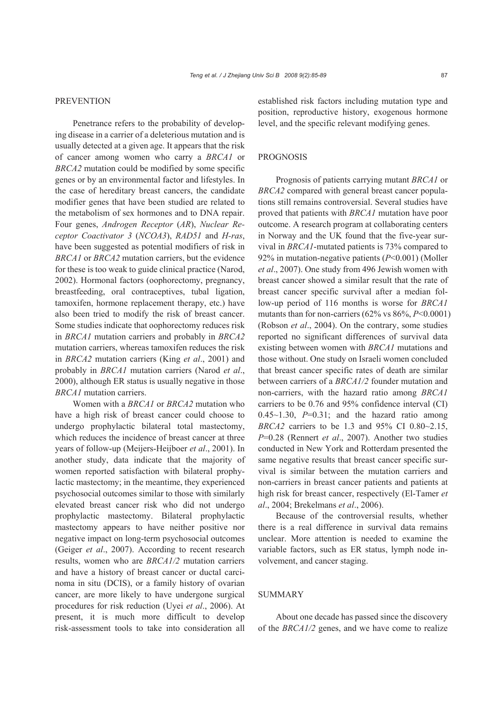### *Teng et al. / J Zhejiang Univ Sci B 2008 9(2):85-89* 87

# **PREVENTION**

Penetrance refers to the probability of developing disease in a carrier of a deleterious mutation and is usually detected at a given age. It appears that the risk of cancer among women who carry a *BRCA1* or *BRCA2* mutation could be modified by some specific genes or by an environmental factor and lifestyles. In the case of hereditary breast cancers, the candidate modifier genes that have been studied are related to the metabolism of sex hormones and to DNA repair. Four genes, *Androgen Receptor* (*AR*), *Nuclear Receptor Coactivator 3* (*NCOA3*), *RAD51* and *H-ras*, have been suggested as potential modifiers of risk in *BRCA1* or *BRCA2* mutation carriers, but the evidence for these is too weak to guide clinical practice (Narod, 2002). Hormonal factors (oophorectomy, pregnancy, breastfeeding, oral contraceptives, tubal ligation, tamoxifen, hormone replacement therapy, etc.) have also been tried to modify the risk of breast cancer. Some studies indicate that oophorectomy reduces risk in *BRCA1* mutation carriers and probably in *BRCA2* mutation carriers, whereas tamoxifen reduces the risk in *BRCA2* mutation carriers (King *et al*., 2001) and probably in *BRCA1* mutation carriers (Narod *et al*., 2000), although ER status is usually negative in those *BRCA1* mutation carriers.

Women with a *BRCA1* or *BRCA2* mutation who have a high risk of breast cancer could choose to undergo prophylactic bilateral total mastectomy, which reduces the incidence of breast cancer at three years of follow-up (Meijers-Heijboer *et al*., 2001). In another study, data indicate that the majority of women reported satisfaction with bilateral prophylactic mastectomy; in the meantime, they experienced psychosocial outcomes similar to those with similarly elevated breast cancer risk who did not undergo prophylactic mastectomy. Bilateral prophylactic mastectomy appears to have neither positive nor negative impact on long-term psychosocial outcomes (Geiger *et al*., 2007). According to recent research results, women who are *BRCA1/2* mutation carriers and have a history of breast cancer or ductal carcinoma in situ (DCIS), or a family history of ovarian cancer, are more likely to have undergone surgical procedures for risk reduction (Uyei *et al*., 2006). At present, it is much more difficult to develop risk-assessment tools to take into consideration all established risk factors including mutation type and position, reproductive history, exogenous hormone level, and the specific relevant modifying genes.

# **PROGNOSIS**

Prognosis of patients carrying mutant *BRCA1* or *BRCA2* compared with general breast cancer populations still remains controversial. Several studies have proved that patients with *BRCA1* mutation have poor outcome. A research program at collaborating centers in Norway and the UK found that the five-year survival in *BRCA1*-mutated patients is 73% compared to 92% in mutation-negative patients (*P*<0.001) (Moller *et al*., 2007). One study from 496 Jewish women with breast cancer showed a similar result that the rate of breast cancer specific survival after a median follow-up period of 116 months is worse for *BRCA1*  mutants than for non-carriers (62% vs 86%, *P*<0.0001) (Robson *et al*., 2004). On the contrary, some studies reported no significant differences of survival data existing between women with *BRCA1* mutations and those without. One study on Israeli women concluded that breast cancer specific rates of death are similar between carriers of a *BRCA1/2* founder mutation and non-carriers, with the hazard ratio among *BRCA1*  carriers to be 0.76 and 95% confidence interval (CI)  $0.45 \sim 1.30$ ,  $P=0.31$ ; and the hazard ratio among *BRCA2* carriers to be 1.3 and 95% CI 0.80~2.15, *P*=0.28 (Rennert *et al*., 2007). Another two studies conducted in New York and Rotterdam presented the same negative results that breast cancer specific survival is similar between the mutation carriers and non-carriers in breast cancer patients and patients at high risk for breast cancer, respectively (El-Tamer *et al*., 2004; Brekelmans *et al*., 2006).

Because of the controversial results, whether there is a real difference in survival data remains unclear. More attention is needed to examine the variable factors, such as ER status, lymph node involvement, and cancer staging.

# SUMMARY

About one decade has passed since the discovery of the *BRCA1/2* genes, and we have come to realize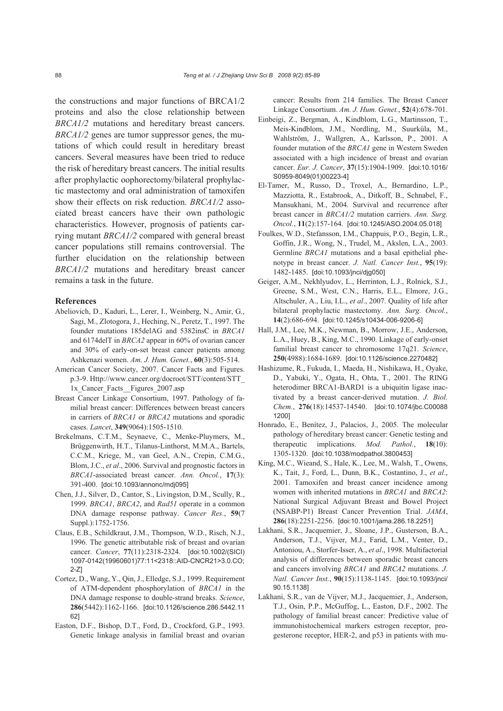the constructions and major functions of BRCA1/2 proteins and also the close relationship between *BRCA1/2* mutations and hereditary breast cancers. *BRCA1/2* genes are tumor suppressor genes, the mutations of which could result in hereditary breast cancers. Several measures have been tried to reduce the risk of hereditary breast cancers. The initial results after prophylactic oophorectomy/bilateral prophylactic mastectomy and oral administration of tamoxifen show their effects on risk reduction. *BRCA1/2* associated breast cancers have their own pathologic characteristics. However, prognosis of patients carrying mutant *BRCA1/2* compared with general breast cancer populations still remains controversial. The further elucidation on the relationship between *BRCA1/2* mutations and hereditary breast cancer remains a task in the future.

# **References**

- Abeliovich, D., Kaduri, L., Lerer, I., Weinberg, N., Amir, G., Sagi, M., Zlotogora, J., Heching, N., Peretz, T., 1997. The founder mutations 185delAG and 5382insC in *BRCA1* and 6174delT in *BRCA2* appear in 60% of ovarian cancer and 30% of early-on-set breast cancer patients among Ashkenazi women. *Am. J. Hum. Genet.*, **60**(3):505-514.
- American Cancer Society, 2007. Cancer Facts and Figures. p.3-9. Http://www.cancer.org/docroot/STT/content/STT\_ 1x Cancer Facts Figures 2007.asp
- Breast Cancer Linkage Consortium, 1997. Pathology of familial breast cancer: Differences between breast cancers in carriers of *BRCA1* or *BRCA2* mutations and sporadic cases. *Lancet*, **349**(9064):1505-1510.
- Brekelmans, C.T.M., Seynaeve, C., Menke-Pluymers, M., Brüggenwirth, H.T., Tilanus-Linthorst, M.M.A., Bartels, C.C.M., Kriege, M., van Geel, A.N., Crepin, C.M.G., Blom, J.C., *et al*., 2006. Survival and prognostic factors in *BRCA1*-associated breast cancer. *Ann. Oncol.*, **17**(3): 391-400. [doi:10.1093/annonc/mdj095]
- Chen, J.J., Silver, D., Cantor, S., Livingston, D.M., Scully, R., 1999. *BRCA1*, *BRCA2*, and *Rad51* operate in a common DNA damage response pathway. *Cancer Res.*, **59**(7 Suppl.):1752-1756.
- Claus, E.B., Schildkraut, J.M., Thompson, W.D., Risch, N.J., 1996. The genetic attributable risk of breast and ovarian cancer. *Cancer*, **77**(11):2318-2324. [doi:10.1002/(SICI) 1097-0142(19960601)77:11<2318::AID-CNCR21>3.0.CO; 2-Z]
- Cortez, D., Wang, Y., Qin, J., Elledge, S.J., 1999. Requirement of ATM-dependent phosphorylation of *BRCA1* in the DNA damage response to double-strand breaks. *Science*, **286**(5442):1162-1166. [doi:10.1126/science.286.5442.11 62]
- Easton, D.F., Bishop, D.T., Ford, D., Crockford, G.P., 1993. Genetic linkage analysis in familial breast and ovarian

cancer: Results from 214 families. The Breast Cancer Linkage Consortium. *Am. J. Hum. Genet.*, **52**(4):678-701.

- Einbeigi, Z., Bergman, A., Kindblom, L.G., Martinsson, T., Meis-Kindblom, J.M., Nordling, M., Suurküla, M., Wahlström, J., Wallgren, A., Karlsson, P., 2001. A founder mutation of the *BRCA1* gene in Western Sweden associated with a high incidence of breast and ovarian cancer. *Eur. J. Cancer*, **37**(15):1904-1909. [doi:10.1016/ S0959-8049(01)00223-4]
- El-Tamer, M., Russo, D., Troxel, A., Bernardino, L.P., Mazziotta, R., Estabrook, A., Ditkoff, B., Schnabel, F., Mansukhani, M., 2004. Survival and recurrence after breast cancer in *BRCA1/2* mutation carriers. *Ann. Surg. Oncol.*, **11**(2):157-164. [doi:10.1245/ASO.2004.05.018]
- Foulkes, W.D., Stefansson, I.M., Chappuis, P.O., Begin, L.R., Goffin, J.R., Wong, N., Trudel, M., Akslen, L.A., 2003. Germline *BRCA1* mutations and a basal epithelial phenotype in breast cancer. *J. Natl. Cancer Inst.*, **95**(19): 1482-1485. [doi:10.1093/jnci/djg050]
- Geiger, A.M., Nekhlyudov, L., Herrinton, L.J., Rolnick, S.J., Greene, S.M., West, C.N., Harris, E.L., Elmore, J.G., Altschuler, A., Liu, I.L., *et al*., 2007. Quality of life after bilateral prophylactic mastectomy. *Ann. Surg. Oncol.*, **14**(2):686-694. [doi:10.1245/s10434-006-9206-6]
- Hall, J.M., Lee, M.K., Newman, B., Morrow, J.E., Anderson, L.A., Huey, B., King, M.C., 1990. Linkage of early-onset familial breast cancer to chromosome 17q21. *Science*, **250**(4988):1684-1689. [doi:10.1126/science.2270482]
- Hashizume, R., Fukuda, I., Maeda, H., Nishikawa, H., Oyake, D., Yabuki, Y., Ogata, H., Ohta, T., 2001. The RING heterodimer BRCA1-BARD1 is a ubiquitin ligase inactivated by a breast cancer-derived mutation. *J. Biol. Chem.*, **276**(18):14537-14540. [doi:10.1074/jbc.C00088 1200]
- Honrado, E., Benítez, J., Palacios, J., 2005. The molecular pathology of hereditary breast cancer: Genetic testing and therapeutic implications. *Mod. Pathol.*, **18**(10): 1305-1320. [doi:10.1038/modpathol.3800453]
- King, M.C., Wieand, S., Hale, K., Lee, M., Walsh, T., Owens, K., Tait, J., Ford, L., Dunn, B.K., Costantino, J., *et al*., 2001. Tamoxifen and breast cancer incidence among women with inherited mutations in *BRCA1* and *BRCA2*: National Surgical Adjuvant Breast and Bowel Project (NSABP-P1) Breast Cancer Prevention Trial. *JAMA*, **286**(18):2251-2256. [doi:10.1001/jama.286.18.2251]
- Lakhani, S.R., Jacquemier, J., Sloane, J.P., Gusterson, B.A., Anderson, T.J., Vijver, M.J., Farid, L.M., Venter, D., Antoniou, A., Storfer-Isser, A., *et al*., 1998. Multifactorial analysis of differences between sporadic breast cancers and cancers involving *BRCA1* and *BRCA2* mutations. *J. Natl. Cancer Inst.*, **90**(15):1138-1145. [doi:10.1093/jnci/ 90.15.1138]
- Lakhani, S.R., van de Vijver, M.J., Jacquemier, J., Anderson, T.J., Osin, P.P., McGuffog, L., Easton, D.F., 2002. The pathology of familial breast cancer: Predictive value of immunohistochemical markers estrogen receptor, progesterone receptor, HER-2, and p53 in patients with mu-